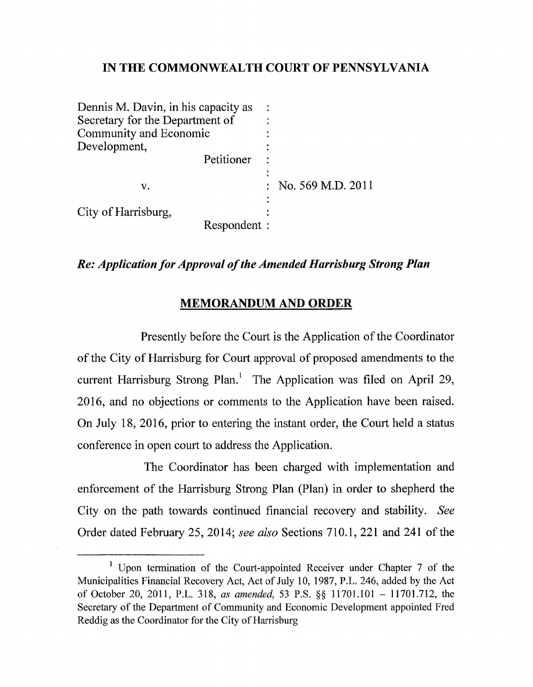## **IN THE COMMONWEALTH COURT OF PENNSYLVANIA**

| Dennis M. Davin, in his capacity as<br>Secretary for the Department of |              |                     |
|------------------------------------------------------------------------|--------------|---------------------|
| Community and Economic                                                 |              |                     |
| Development,                                                           |              |                     |
|                                                                        | Petitioner   |                     |
| v.                                                                     |              | : No. 569 M.D. 2011 |
| City of Harrisburg,                                                    | Respondent : |                     |
|                                                                        |              |                     |

## *Re: Application for Approval of the Amended Harrisburg Strong Plan*

## **MEMORANDUM AND ORDER**

Presently before the Court is the Application of the Coordinator of the City of Harrisburg for Court approval of proposed amendments to the current Harrisburg Strong Plan.<sup>1</sup> The Application was filed on April 29, 2016, and no objections or comments to the Application have been raised. On July 18, 2016, prior to entering the instant order, the Court held a status conference in open court to address the Application.

The Coordinator has been charged with implementation and enforcement of the Harrisburg Strong Plan (Plan) in order to shepherd the City on the path towards continued financial recovery and stability. *See*  Order dated February 25, 2014; *see also* Sections 710.1, 221 and 241 of the

<sup>&</sup>lt;sup>1</sup> Upon termination of the Court-appointed Receiver under Chapter 7 of the Municipalities Financial Recovery Act, Act of July 10, 1987, P.L. 246, added by the Act of October 20, 2011, P.L. 318, *as amended,* 53 P.S. §§ 11701.101 - 11701.712, the Secretary of the Department of Community and Economic Development appointed Fred Reddig as the Coordinator for the City of Harrisburg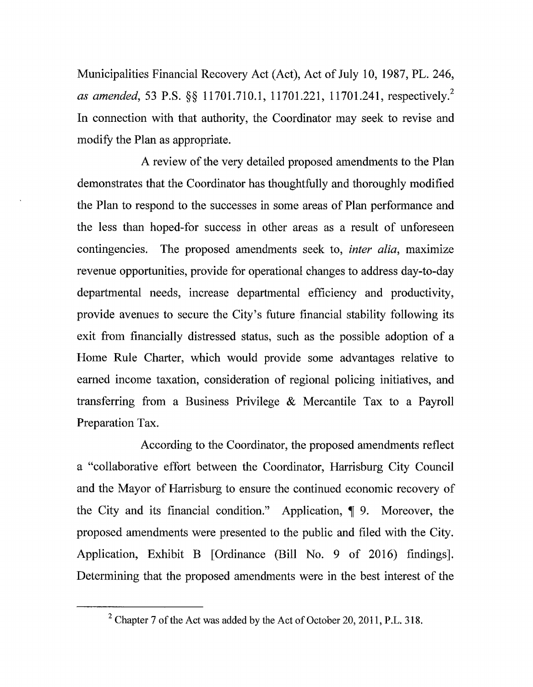Municipalities Financial Recovery Act (Act), Act of July 10, 1987, PL. 246, *as amended*, 53 P.S. §§ 11701.710.1, 11701.221, 11701.241, respectively.<sup>2</sup> In connection with that authority, the Coordinator may seek to revise and modify the Plan as appropriate.

A review of the very detailed proposed amendments to the Plan demonstrates that the Coordinator has thoughtfully and thoroughly modified the Plan to respond to the successes in some areas of Plan performance and the less than hoped-for success in other areas as a result of unforeseen contingencies. The proposed amendments seek to, *inter alia,* maximize revenue opportunities, provide for operational changes to address day-to-day departmental needs, increase departmental efficiency and productivity, provide avenues to secure the City's future financial stability following its exit from financially distressed status, such as the possible adoption of a Home Rule Charter, which would provide some advantages relative to earned income taxation, consideration of regional policing initiatives, and transferring from a Business Privilege & Mercantile Tax to a Payroll Preparation Tax.

According to the Coordinator, the proposed amendments reflect a "collaborative effort between the Coordinator, Harrisburg City Council and the Mayor of Harrisburg to ensure the continued economic recovery of the City and its financial condition." Application,  $\P$  9. Moreover, the proposed amendments were presented to the public and filed with the City. Application, Exhibit B [Ordinance (Bill No. 9 of 2016) findings]. Determining that the proposed amendments were in the best interest of the

<sup>&</sup>lt;sup>2</sup> Chapter 7 of the Act was added by the Act of October 20, 2011, P.L. 318.